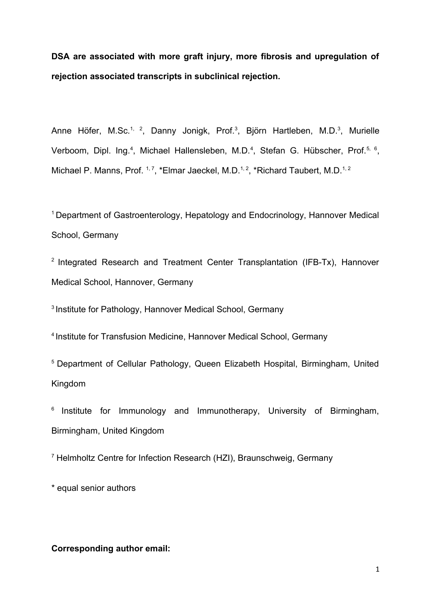**DSA are associated with more graft injury, more fibrosis and upregulation of rejection associated transcripts in subclinical rejection.**

Anne Höfer, M.Sc.<sup>1, 2</sup>, Danny Jonigk, Prof.<sup>3</sup>, Björn Hartleben, M.D.<sup>3</sup>, Murielle Verboom, Dipl. Ing.<sup>4</sup>, Michael Hallensleben, M.D.<sup>4</sup>, Stefan G. Hübscher, Prof.<sup>5, 6</sup>, Michael P. Manns, Prof.  $1, 7, *$ Elmar Jaeckel, M.D. $1, 2, *$ Richard Taubert, M.D. $1, 2, *$ 

<sup>1</sup>Department of Gastroenterology, Hepatology and Endocrinology, Hannover Medical School, Germany

 $2$  Integrated Research and Treatment Center Transplantation (IFB-Tx), Hannover Medical School, Hannover, Germany

<sup>3</sup> Institute for Pathology, Hannover Medical School, Germany

<sup>4</sup> Institute for Transfusion Medicine, Hannover Medical School, Germany

<sup>5</sup> Department of Cellular Pathology, Queen Elizabeth Hospital, Birmingham, United Kingdom

 $6$  Institute for Immunology and Immunotherapy, University of Birmingham, Birmingham, United Kingdom

<sup>7</sup> Helmholtz Centre for Infection Research (HZI), Braunschweig, Germany

\* equal senior authors

### **Corresponding author email:**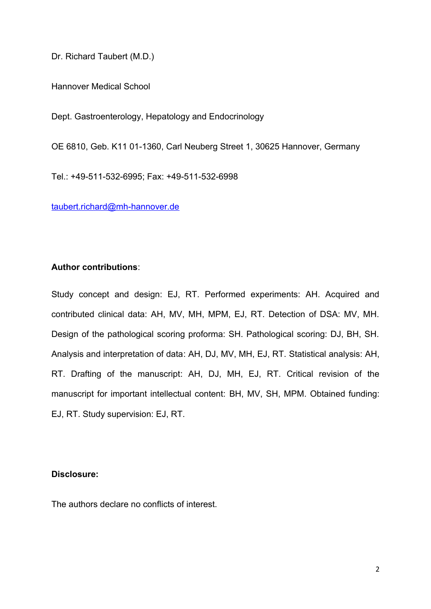Dr. Richard Taubert (M.D.)

Hannover Medical School

Dept. Gastroenterology, Hepatology and Endocrinology

OE 6810, Geb. K11 01-1360, Carl Neuberg Street 1, 30625 Hannover, Germany

Tel.: +49-511-532-6995; Fax: +49-511-532-6998

[taubert.richard@mh-hannover.de](mailto:taubert.richard@mh-hannover.de)

## **Author contributions**:

Study concept and design: EJ, RT. Performed experiments: AH. Acquired and contributed clinical data: AH, MV, MH, MPM, EJ, RT. Detection of DSA: MV, MH. Design of the pathological scoring proforma: SH. Pathological scoring: DJ, BH, SH. Analysis and interpretation of data: AH, DJ, MV, MH, EJ, RT. Statistical analysis: AH, RT. Drafting of the manuscript: AH, DJ, MH, EJ, RT. Critical revision of the manuscript for important intellectual content: BH, MV, SH, MPM. Obtained funding: EJ, RT. Study supervision: EJ, RT.

### **Disclosure:**

The authors declare no conflicts of interest.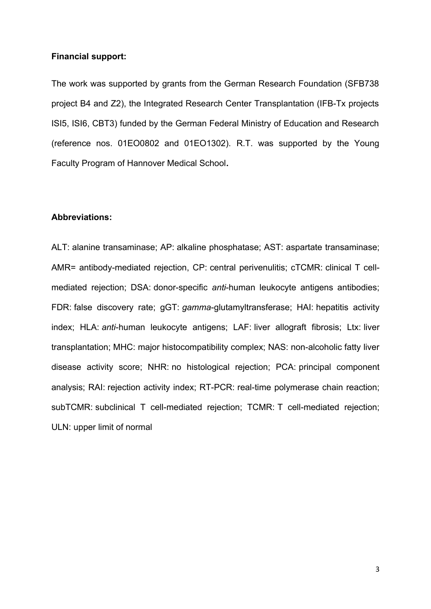### **Financial support:**

The work was supported by grants from the German Research Foundation (SFB738 project B4 and Z2), the Integrated Research Center Transplantation (IFB-Tx projects ISI5, ISI6, CBT3) funded by the German Federal Ministry of Education and Research (reference nos. 01EO0802 and 01EO1302). R.T. was supported by the Young Faculty Program of Hannover Medical School**.**

## **Abbreviations:**

ALT: alanine transaminase; AP: alkaline phosphatase; AST: aspartate transaminase; AMR= antibody-mediated rejection, CP: central perivenulitis; cTCMR: clinical T cellmediated rejection; DSA: donor-specific *anti*-human leukocyte antigens antibodies; FDR: false discovery rate; gGT: *gamma*-glutamyltransferase; HAI: hepatitis activity index; HLA: *anti*-human leukocyte antigens; LAF: liver allograft fibrosis; Ltx: liver transplantation; MHC: major histocompatibility complex; NAS: non-alcoholic fatty liver disease activity score; NHR: no histological rejection; PCA: principal component analysis; RAI: rejection activity index; RT-PCR: real-time polymerase chain reaction; subTCMR: subclinical T cell-mediated rejection; TCMR: T cell-mediated rejection; ULN: upper limit of normal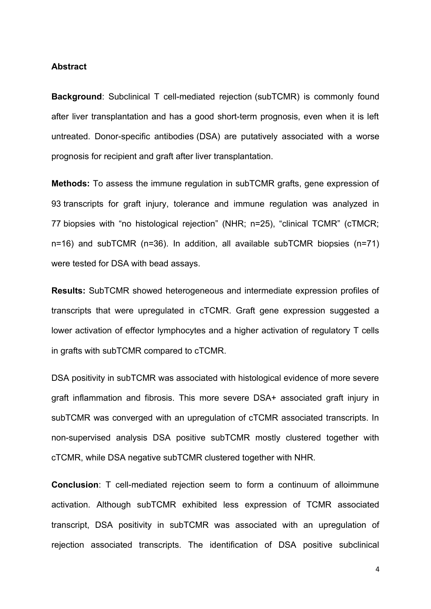#### **Abstract**

**Background**: Subclinical T cell-mediated rejection (subTCMR) is commonly found after liver transplantation and has a good short-term prognosis, even when it is left untreated. Donor-specific antibodies (DSA) are putatively associated with a worse prognosis for recipient and graft after liver transplantation.

**Methods:** To assess the immune regulation in subTCMR grafts, gene expression of 93 transcripts for graft injury, tolerance and immune regulation was analyzed in 77 biopsies with "no histological rejection" (NHR; n=25), "clinical TCMR" (cTMCR; n=16) and subTCMR (n=36). In addition, all available subTCMR biopsies (n=71) were tested for DSA with bead assays.

**Results:** SubTCMR showed heterogeneous and intermediate expression profiles of transcripts that were upregulated in cTCMR. Graft gene expression suggested a lower activation of effector lymphocytes and a higher activation of regulatory T cells in grafts with subTCMR compared to cTCMR.

DSA positivity in subTCMR was associated with histological evidence of more severe graft inflammation and fibrosis. This more severe DSA+ associated graft injury in subTCMR was converged with an upregulation of cTCMR associated transcripts. In non-supervised analysis DSA positive subTCMR mostly clustered together with cTCMR, while DSA negative subTCMR clustered together with NHR.

**Conclusion**: T cell-mediated rejection seem to form a continuum of alloimmune activation. Although subTCMR exhibited less expression of TCMR associated transcript, DSA positivity in subTCMR was associated with an upregulation of rejection associated transcripts. The identification of DSA positive subclinical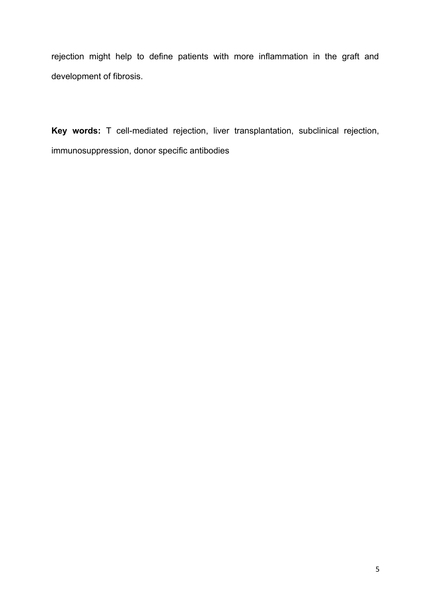rejection might help to define patients with more inflammation in the graft and development of fibrosis.

**Key words:** T cell-mediated rejection, liver transplantation, subclinical rejection, immunosuppression, donor specific antibodies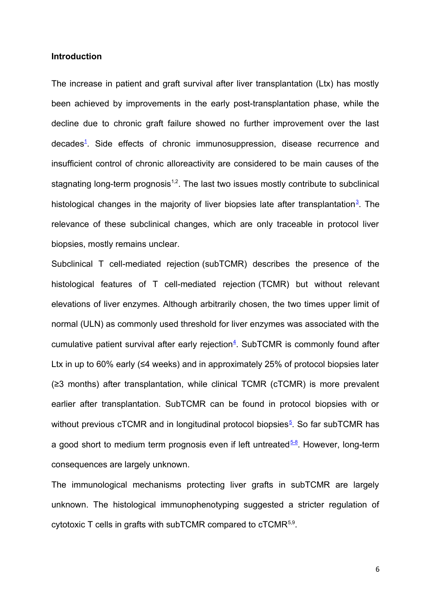### **Introduction**

The increase in patient and graft survival after liver transplantation (Ltx) has mostly been achieved by improvements in the early post-transplantation phase, while the decline due to chronic graft failure showed no further improvement over the last decades<sup>[1](#page-21-3)</sup>. Side effects of chronic immunosuppression, disease recurrence and insufficient control of chronic alloreactivity are considered to be main causes of the stagnating long-term prognosis<sup> $1,2$ </sup>. The last two issues mostly contribute to subclinical histological changes in the majority of liver biopsies late after transplantation<sup>[3](#page-21-2)</sup>. The relevance of these subclinical changes, which are only traceable in protocol liver biopsies, mostly remains unclear.

Subclinical T cell-mediated rejection (subTCMR) describes the presence of the histological features of T cell-mediated rejection (TCMR) but without relevant elevations of liver enzymes. Although arbitrarily chosen, the two times upper limit of normal (ULN) as commonly used threshold for liver enzymes was associated with the cumulative patient survival after early rejection<sup>[4](#page-21-1)</sup>. SubTCMR is commonly found after Ltx in up to 60% early (≤4 weeks) and in approximately 25% of protocol biopsies later (≥3 months) after transplantation, while clinical TCMR (cTCMR) is more prevalent earlier after transplantation. SubTCMR can be found in protocol biopsies with or without previous cTCMR and in longitudinal protocol biopsies<sup>s</sup>. So far subTCMR has a good short to medium term prognosis even if left untreated  $5-8$ . However, long-term consequences are largely unknown.

The immunological mechanisms protecting liver grafts in subTCMR are largely unknown. The histological immunophenotyping suggested a stricter regulation of cytotoxic T cells in grafts with subTCMR compared to  $cTCMR^{5,9}$ .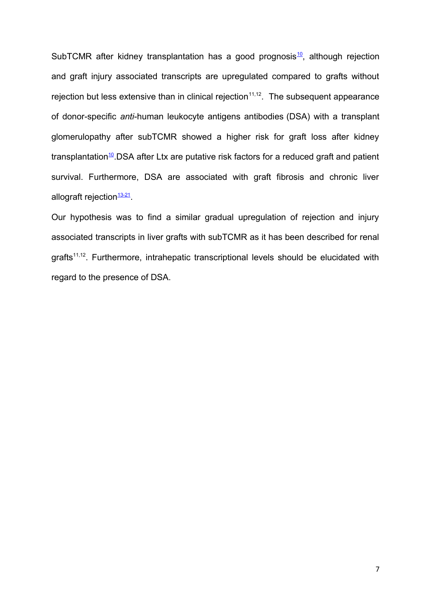SubTCMR after kidney transplantation has a good prognosis $10$ , although rejection and graft injury associated transcripts are upregulated compared to grafts without rejection but less extensive than in clinical rejection<sup>11,12</sup>. The subsequent appearance of donor-specific *anti*-human leukocyte antigens antibodies (DSA) with a transplant glomerulopathy after subTCMR showed a higher risk for graft loss after kidney transplantation<sup>[10](#page-21-5)</sup>.DSA after Ltx are putative risk factors for a reduced graft and patient survival. Furthermore, DSA are associated with graft fibrosis and chronic liver allograft rejection<sup><u>[13-21](#page-21-4)</u></sup>

Our hypothesis was to find a similar gradual upregulation of rejection and injury associated transcripts in liver grafts with subTCMR as it has been described for renal grafts<sup>11,12</sup>. Furthermore, intrahepatic transcriptional levels should be elucidated with regard to the presence of DSA.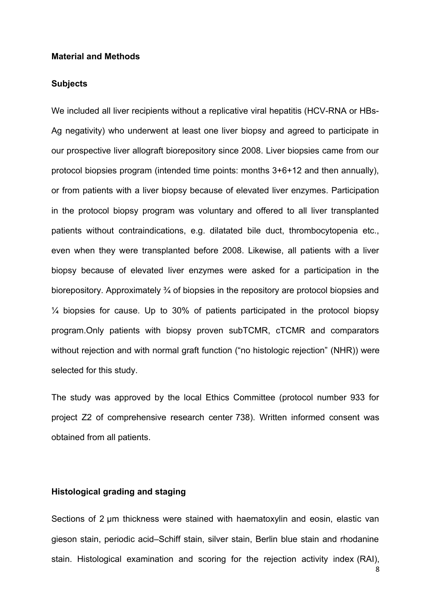### **Material and Methods**

### **Subjects**

We included all liver recipients without a replicative viral hepatitis (HCV-RNA or HBs-Ag negativity) who underwent at least one liver biopsy and agreed to participate in our prospective liver allograft biorepository since 2008. Liver biopsies came from our protocol biopsies program (intended time points: months 3+6+12 and then annually), or from patients with a liver biopsy because of elevated liver enzymes. Participation in the protocol biopsy program was voluntary and offered to all liver transplanted patients without contraindications, e.g. dilatated bile duct, thrombocytopenia etc., even when they were transplanted before 2008. Likewise, all patients with a liver biopsy because of elevated liver enzymes were asked for a participation in the biorepository. Approximately ¾ of biopsies in the repository are protocol biopsies and ¼ biopsies for cause. Up to 30% of patients participated in the protocol biopsy program.Only patients with biopsy proven subTCMR, cTCMR and comparators without rejection and with normal graft function ("no histologic rejection" (NHR)) were selected for this study.

The study was approved by the local Ethics Committee (protocol number 933 for project Z2 of comprehensive research center 738). Written informed consent was obtained from all patients.

### **Histological grading and staging**

Sections of 2 um thickness were stained with haematoxylin and eosin, elastic van gieson stain, periodic acid–Schiff stain, silver stain, Berlin blue stain and rhodanine stain. Histological examination and scoring for the rejection activity index (RAI),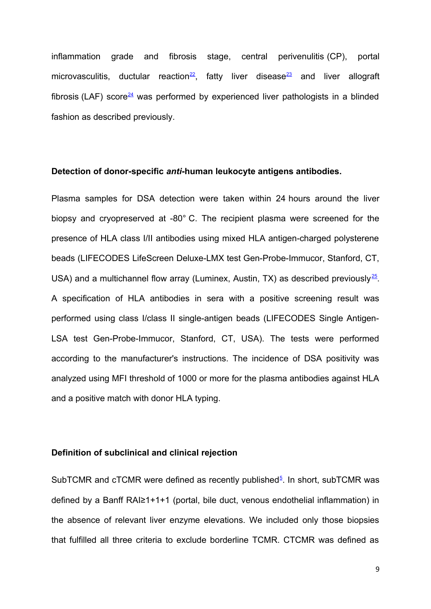inflammation grade and fibrosis stage, central perivenulitis (CP), portal microvasculitis, ductular reaction<sup>[22](#page-22-3)</sup>, fatty liver disease<sup>[23](#page-22-2)</sup> and liver allograft fibrosis (LAF) score<sup>[24](#page-22-1)</sup> was performed by experienced liver pathologists in a blinded fashion as described previously.

### **Detection of donor-specific** *anti***-human leukocyte antigens antibodies.**

Plasma samples for DSA detection were taken within 24 hours around the liver biopsy and cryopreserved at -80° C. The recipient plasma were screened for the presence of HLA class I/II antibodies using mixed HLA antigen-charged polysterene beads (LIFECODES LifeScreen Deluxe-LMX test Gen-Probe-Immucor, Stanford, CT, USA) and a multichannel flow array (Luminex, Austin, TX) as described previously<sup>[25](#page-22-0)</sup>. A specification of HLA antibodies in sera with a positive screening result was performed using class I/class II single-antigen beads (LIFECODES Single Antigen-LSA test Gen-Probe-Immucor, Stanford, CT, USA). The tests were performed according to the manufacturer's instructions. The incidence of DSA positivity was analyzed using MFI threshold of 1000 or more for the plasma antibodies against HLA and a positive match with donor HLA typing.

### **Definition of subclinical and clinical rejection**

SubTCMR and cTCMR were defined as recently published<sup>[5](#page-21-0)</sup>. In short, subTCMR was defined by a Banff RAI≥1+1+1 (portal, bile duct, venous endothelial inflammation) in the absence of relevant liver enzyme elevations. We included only those biopsies that fulfilled all three criteria to exclude borderline TCMR. CTCMR was defined as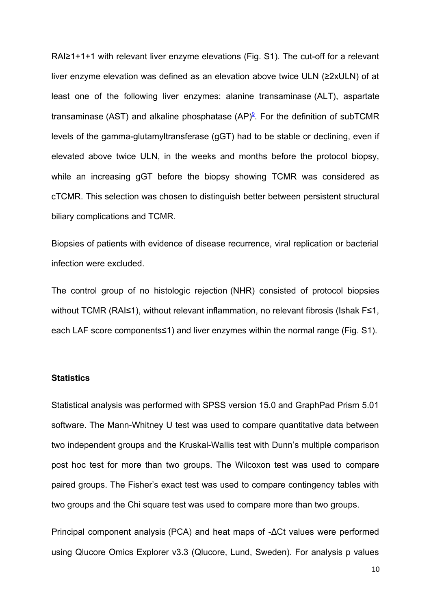RAI≥1+1+1 with relevant liver enzyme elevations (Fig. S1). The cut-off for a relevant liver enzyme elevation was defined as an elevation above twice ULN (≥2xULN) of at least one of the following liver enzymes: alanine transaminase (ALT), aspartate transaminase (AST) and alkaline phosphatase (AP)<sup>[9](#page-21-6)</sup>. For the definition of subTCMR levels of the gamma-glutamyltransferase (gGT) had to be stable or declining, even if elevated above twice ULN, in the weeks and months before the protocol biopsy, while an increasing gGT before the biopsy showing TCMR was considered as cTCMR. This selection was chosen to distinguish better between persistent structural biliary complications and TCMR.

Biopsies of patients with evidence of disease recurrence, viral replication or bacterial infection were excluded.

The control group of no histologic rejection (NHR) consisted of protocol biopsies without TCMR (RAI≤1), without relevant inflammation, no relevant fibrosis (Ishak F≤1, each LAF score components≤1) and liver enzymes within the normal range (Fig. S1).

### **Statistics**

Statistical analysis was performed with SPSS version 15.0 and GraphPad Prism 5.01 software. The Mann-Whitney U test was used to compare quantitative data between two independent groups and the Kruskal-Wallis test with Dunn's multiple comparison post hoc test for more than two groups. The Wilcoxon test was used to compare paired groups. The Fisher's exact test was used to compare contingency tables with two groups and the Chi square test was used to compare more than two groups.

Principal component analysis (PCA) and heat maps of -ΔCt values were performed using Qlucore Omics Explorer v3.3 (Qlucore, Lund, Sweden). For analysis p values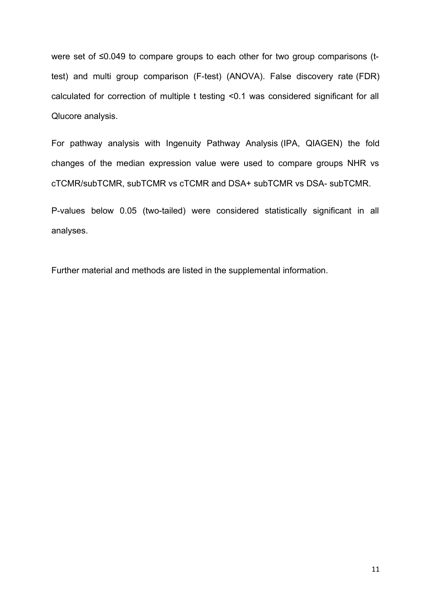were set of ≤0.049 to compare groups to each other for two group comparisons (ttest) and multi group comparison (F-test) (ANOVA). False discovery rate (FDR) calculated for correction of multiple t testing <0.1 was considered significant for all Qlucore analysis.

For pathway analysis with Ingenuity Pathway Analysis (IPA, QIAGEN) the fold changes of the median expression value were used to compare groups NHR vs cTCMR/subTCMR, subTCMR vs cTCMR and DSA+ subTCMR vs DSA- subTCMR.

P-values below 0.05 (two-tailed) were considered statistically significant in all analyses.

Further material and methods are listed in the supplemental information.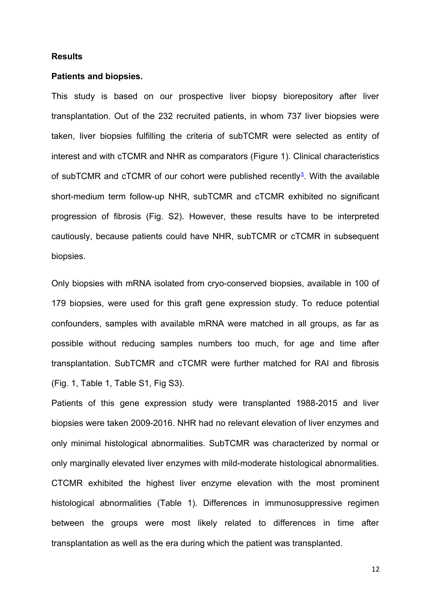### **Results**

### **Patients and biopsies.**

This study is based on our prospective liver biopsy biorepository after liver transplantation. Out of the 232 recruited patients, in whom 737 liver biopsies were taken, liver biopsies fulfilling the criteria of subTCMR were selected as entity of interest and with cTCMR and NHR as comparators (Figure 1). Clinical characteristics of subTCMR and cTCMR of our cohort were published recently<sup>[5](#page-21-0)</sup>. With the available short-medium term follow-up NHR, subTCMR and cTCMR exhibited no significant progression of fibrosis (Fig. S2). However, these results have to be interpreted cautiously, because patients could have NHR, subTCMR or cTCMR in subsequent biopsies.

Only biopsies with mRNA isolated from cryo-conserved biopsies, available in 100 of 179 biopsies, were used for this graft gene expression study. To reduce potential confounders, samples with available mRNA were matched in all groups, as far as possible without reducing samples numbers too much, for age and time after transplantation. SubTCMR and cTCMR were further matched for RAI and fibrosis (Fig. 1, Table 1, Table S1, Fig S3).

Patients of this gene expression study were transplanted 1988-2015 and liver biopsies were taken 2009-2016. NHR had no relevant elevation of liver enzymes and only minimal histological abnormalities. SubTCMR was characterized by normal or only marginally elevated liver enzymes with mild-moderate histological abnormalities. CTCMR exhibited the highest liver enzyme elevation with the most prominent histological abnormalities (Table 1). Differences in immunosuppressive regimen between the groups were most likely related to differences in time after transplantation as well as the era during which the patient was transplanted.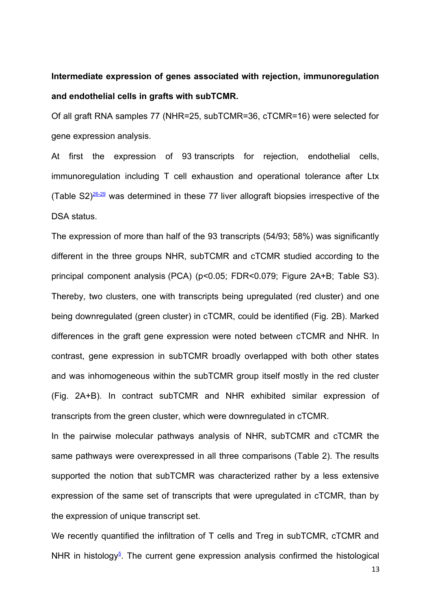# **Intermediate expression of genes associated with rejection, immunoregulation and endothelial cells in grafts with subTCMR.**

Of all graft RNA samples 77 (NHR=25, subTCMR=36, cTCMR=16) were selected for gene expression analysis.

At first the expression of 93 transcripts for rejection, endothelial cells, immunoregulation including T cell exhaustion and operational tolerance after Ltx (Table  $S2)^{\frac{26-29}{2}}$  $S2)^{\frac{26-29}{2}}$  $S2)^{\frac{26-29}{2}}$  was determined in these 77 liver allograft biopsies irrespective of the DSA status.

The expression of more than half of the 93 transcripts (54/93; 58%) was significantly different in the three groups NHR, subTCMR and cTCMR studied according to the principal component analysis (PCA) (p<0.05; FDR<0.079; Figure 2A+B; Table S3). Thereby, two clusters, one with transcripts being upregulated (red cluster) and one being downregulated (green cluster) in cTCMR, could be identified (Fig. 2B). Marked differences in the graft gene expression were noted between cTCMR and NHR. In contrast, gene expression in subTCMR broadly overlapped with both other states and was inhomogeneous within the subTCMR group itself mostly in the red cluster (Fig. 2A+B). In contract subTCMR and NHR exhibited similar expression of transcripts from the green cluster, which were downregulated in cTCMR.

In the pairwise molecular pathways analysis of NHR, subTCMR and cTCMR the same pathways were overexpressed in all three comparisons (Table 2). The results supported the notion that subTCMR was characterized rather by a less extensive expression of the same set of transcripts that were upregulated in cTCMR, than by the expression of unique transcript set.

We recently quantified the infiltration of T cells and Treg in subTCMR, cTCMR and NHR in histology<sup>[5](#page-21-0)</sup>. The current gene expression analysis confirmed the histological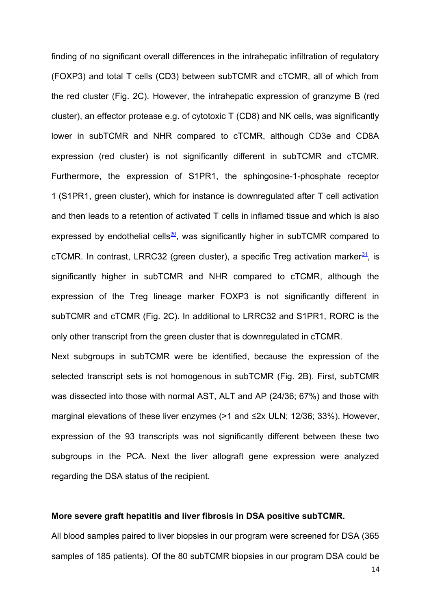finding of no significant overall differences in the intrahepatic infiltration of regulatory (FOXP3) and total T cells (CD3) between subTCMR and cTCMR, all of which from the red cluster (Fig. 2C). However, the intrahepatic expression of granzyme B (red cluster), an effector protease e.g. of cytotoxic T (CD8) and NK cells, was significantly lower in subTCMR and NHR compared to cTCMR, although CD3e and CD8A expression (red cluster) is not significantly different in subTCMR and cTCMR. Furthermore, the expression of S1PR1, the sphingosine-1-phosphate receptor 1 (S1PR1, green cluster), which for instance is downregulated after T cell activation and then leads to a retention of activated T cells in inflamed tissue and which is also expressed by endothelial cells $\frac{30}{2}$  $\frac{30}{2}$  $\frac{30}{2}$ , was significantly higher in subTCMR compared to cTCMR. In contrast, LRRC32 (green cluster), a specific Treg activation marker $\frac{31}{1}$  $\frac{31}{1}$  $\frac{31}{1}$ , is significantly higher in subTCMR and NHR compared to cTCMR, although the expression of the Treg lineage marker FOXP3 is not significantly different in subTCMR and cTCMR (Fig. 2C). In additional to LRRC32 and S1PR1, RORC is the only other transcript from the green cluster that is downregulated in cTCMR.

Next subgroups in subTCMR were be identified, because the expression of the selected transcript sets is not homogenous in subTCMR (Fig. 2B). First, subTCMR was dissected into those with normal AST, ALT and AP (24/36; 67%) and those with marginal elevations of these liver enzymes (>1 and ≤2x ULN; 12/36; 33%). However, expression of the 93 transcripts was not significantly different between these two subgroups in the PCA. Next the liver allograft gene expression were analyzed regarding the DSA status of the recipient.

#### **More severe graft hepatitis and liver fibrosis in DSA positive subTCMR.**

All blood samples paired to liver biopsies in our program were screened for DSA (365 samples of 185 patients). Of the 80 subTCMR biopsies in our program DSA could be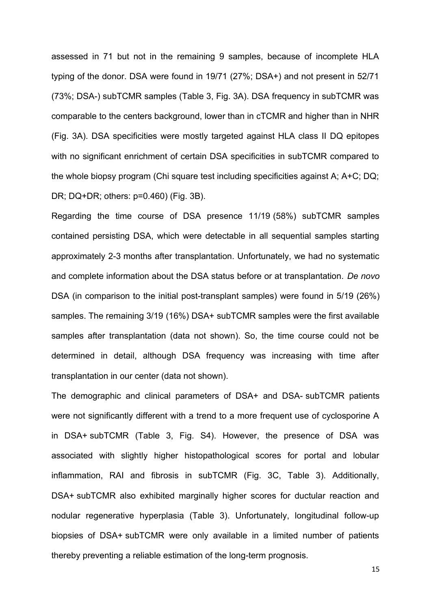assessed in 71 but not in the remaining 9 samples, because of incomplete HLA typing of the donor. DSA were found in 19/71 (27%; DSA+) and not present in 52/71 (73%; DSA-) subTCMR samples (Table 3, Fig. 3A). DSA frequency in subTCMR was comparable to the centers background, lower than in cTCMR and higher than in NHR (Fig. 3A). DSA specificities were mostly targeted against HLA class II DQ epitopes with no significant enrichment of certain DSA specificities in subTCMR compared to the whole biopsy program (Chi square test including specificities against A; A+C; DQ; DR; DQ+DR; others: p=0.460) (Fig. 3B).

Regarding the time course of DSA presence 11/19 (58%) subTCMR samples contained persisting DSA, which were detectable in all sequential samples starting approximately 2-3 months after transplantation. Unfortunately, we had no systematic and complete information about the DSA status before or at transplantation. *De novo* DSA (in comparison to the initial post-transplant samples) were found in 5/19 (26%) samples. The remaining 3/19 (16%) DSA+ subTCMR samples were the first available samples after transplantation (data not shown). So, the time course could not be determined in detail, although DSA frequency was increasing with time after transplantation in our center (data not shown).

The demographic and clinical parameters of DSA+ and DSA- subTCMR patients were not significantly different with a trend to a more frequent use of cyclosporine A in DSA+ subTCMR (Table 3, Fig. S4). However, the presence of DSA was associated with slightly higher histopathological scores for portal and lobular inflammation, RAI and fibrosis in subTCMR (Fig. 3C, Table 3). Additionally, DSA+ subTCMR also exhibited marginally higher scores for ductular reaction and nodular regenerative hyperplasia (Table 3). Unfortunately, longitudinal follow-up biopsies of DSA+ subTCMR were only available in a limited number of patients thereby preventing a reliable estimation of the long-term prognosis.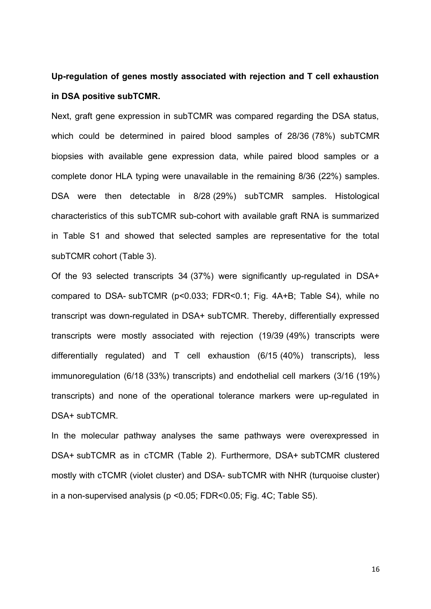## **Up-regulation of genes mostly associated with rejection and T cell exhaustion in DSA positive subTCMR.**

Next, graft gene expression in subTCMR was compared regarding the DSA status, which could be determined in paired blood samples of 28/36 (78%) subTCMR biopsies with available gene expression data, while paired blood samples or a complete donor HLA typing were unavailable in the remaining 8/36 (22%) samples. DSA were then detectable in 8/28 (29%) subTCMR samples. Histological characteristics of this subTCMR sub-cohort with available graft RNA is summarized in Table S1 and showed that selected samples are representative for the total subTCMR cohort (Table 3).

Of the 93 selected transcripts 34 (37%) were significantly up-regulated in DSA+ compared to DSA- subTCMR (p<0.033; FDR<0.1; Fig. 4A+B; Table S4), while no transcript was down-regulated in DSA+ subTCMR. Thereby, differentially expressed transcripts were mostly associated with rejection (19/39 (49%) transcripts were differentially regulated) and T cell exhaustion (6/15 (40%) transcripts), less immunoregulation (6/18 (33%) transcripts) and endothelial cell markers (3/16 (19%) transcripts) and none of the operational tolerance markers were up-regulated in DSA+ subTCMR.

In the molecular pathway analyses the same pathways were overexpressed in DSA+ subTCMR as in cTCMR (Table 2). Furthermore, DSA+ subTCMR clustered mostly with cTCMR (violet cluster) and DSA- subTCMR with NHR (turquoise cluster) in a non-supervised analysis (p <0.05; FDR<0.05; Fig. 4C; Table S5).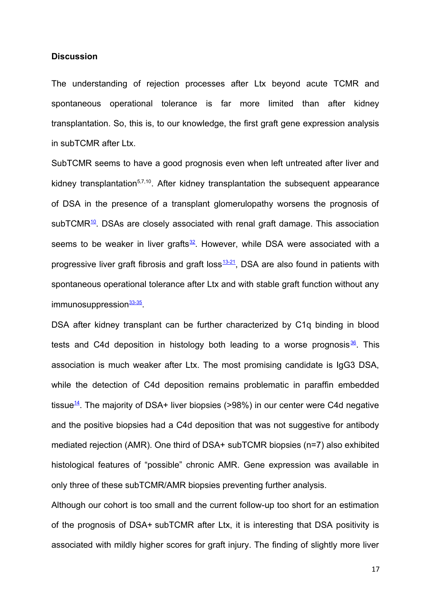#### **Discussion**

The understanding of rejection processes after Ltx beyond acute TCMR and spontaneous operational tolerance is far more limited than after kidney transplantation. So, this is, to our knowledge, the first graft gene expression analysis in subTCMR after Ltx.

SubTCMR seems to have a good prognosis even when left untreated after liver and kidney transplantation $57,10$ . After kidney transplantation the subsequent appearance of DSA in the presence of a transplant glomerulopathy worsens the prognosis of subTCMR<sup>[10](#page-21-5)</sup>. DSAs are closely associated with renal graft damage. This association seems to be weaker in liver grafts $32$ . However, while DSA were associated with a progressive liver graft fibrosis and graft loss $\frac{13-21}{2}$  $\frac{13-21}{2}$  $\frac{13-21}{2}$ , DSA are also found in patients with spontaneous operational tolerance after Ltx and with stable graft function without any immunosuppression<sup>[33-35](#page-22-7)</sup>.

DSA after kidney transplant can be further characterized by C1q binding in blood tests and C4d deposition in histology both leading to a worse prognosis $\frac{36}{2}$  $\frac{36}{2}$  $\frac{36}{2}$ . This association is much weaker after Ltx. The most promising candidate is IgG3 DSA, while the detection of C4d deposition remains problematic in paraffin embedded tissue $\frac{14}{1}$  $\frac{14}{1}$  $\frac{14}{1}$ . The majority of DSA+ liver biopsies (>98%) in our center were C4d negative and the positive biopsies had a C4d deposition that was not suggestive for antibody mediated rejection (AMR). One third of DSA+ subTCMR biopsies (n=7) also exhibited histological features of "possible" chronic AMR. Gene expression was available in only three of these subTCMR/AMR biopsies preventing further analysis.

Although our cohort is too small and the current follow-up too short for an estimation of the prognosis of DSA+ subTCMR after Ltx, it is interesting that DSA positivity is associated with mildly higher scores for graft injury. The finding of slightly more liver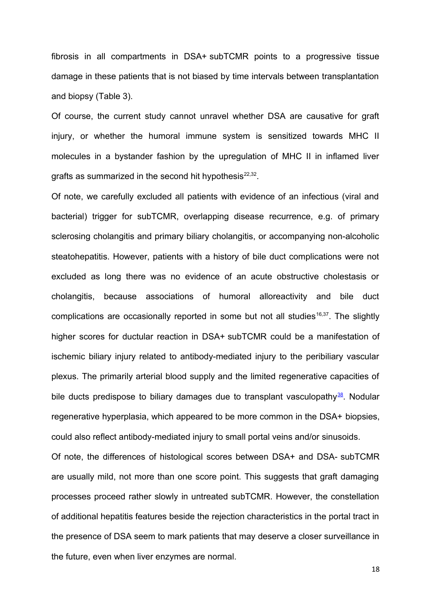fibrosis in all compartments in DSA+ subTCMR points to a progressive tissue damage in these patients that is not biased by time intervals between transplantation and biopsy (Table 3).

Of course, the current study cannot unravel whether DSA are causative for graft injury, or whether the humoral immune system is sensitized towards MHC II molecules in a bystander fashion by the upregulation of MHC II in inflamed liver grafts as summarized in the second hit hypothesis $^{22,32}.$ 

Of note, we carefully excluded all patients with evidence of an infectious (viral and bacterial) trigger for subTCMR, overlapping disease recurrence, e.g. of primary sclerosing cholangitis and primary biliary cholangitis, or accompanying non-alcoholic steatohepatitis. However, patients with a history of bile duct complications were not excluded as long there was no evidence of an acute obstructive cholestasis or cholangitis, because associations of humoral alloreactivity and bile duct complications are occasionally reported in some but not all studies<sup>16,37</sup>. The slightly higher scores for ductular reaction in DSA+ subTCMR could be a manifestation of ischemic biliary injury related to antibody-mediated injury to the peribiliary vascular plexus. The primarily arterial blood supply and the limited regenerative capacities of bile ducts predispose to biliary damages due to transplant vasculopathy $38$ . Nodular regenerative hyperplasia, which appeared to be more common in the DSA+ biopsies, could also reflect antibody-mediated injury to small portal veins and/or sinusoids.

Of note, the differences of histological scores between DSA+ and DSA- subTCMR are usually mild, not more than one score point. This suggests that graft damaging processes proceed rather slowly in untreated subTCMR. However, the constellation of additional hepatitis features beside the rejection characteristics in the portal tract in the presence of DSA seem to mark patients that may deserve a closer surveillance in the future, even when liver enzymes are normal.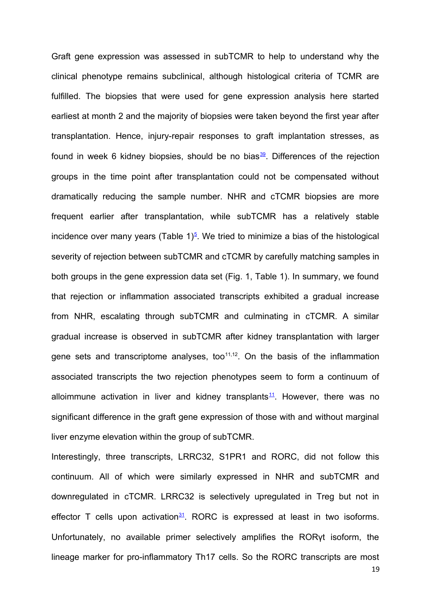Graft gene expression was assessed in subTCMR to help to understand why the clinical phenotype remains subclinical, although histological criteria of TCMR are fulfilled. The biopsies that were used for gene expression analysis here started earliest at month 2 and the majority of biopsies were taken beyond the first year after transplantation. Hence, injury-repair responses to graft implantation stresses, as found in week 6 kidney biopsies, should be no bias $\frac{39}{2}$  $\frac{39}{2}$  $\frac{39}{2}$ . Differences of the rejection groups in the time point after transplantation could not be compensated without dramatically reducing the sample number. NHR and cTCMR biopsies are more frequent earlier after transplantation, while subTCMR has a relatively stable incidence over many years (Table 1) $<sup>5</sup>$  $<sup>5</sup>$  $<sup>5</sup>$ . We tried to minimize a bias of the histological</sup> severity of rejection between subTCMR and cTCMR by carefully matching samples in both groups in the gene expression data set (Fig. 1, Table 1). In summary, we found that rejection or inflammation associated transcripts exhibited a gradual increase from NHR, escalating through subTCMR and culminating in cTCMR. A similar gradual increase is observed in subTCMR after kidney transplantation with larger gene sets and transcriptome analyses, too $11,12$ . On the basis of the inflammation associated transcripts the two rejection phenotypes seem to form a continuum of alloimmune activation in liver and kidney transplants<sup>[11](#page-21-8)</sup>. However, there was no significant difference in the graft gene expression of those with and without marginal liver enzyme elevation within the group of subTCMR.

Interestingly, three transcripts, LRRC32, S1PR1 and RORC, did not follow this continuum. All of which were similarly expressed in NHR and subTCMR and downregulated in cTCMR. LRRC32 is selectively upregulated in Treg but not in effector T cells upon activation $31$ . RORC is expressed at least in two isoforms. Unfortunately, no available primer selectively amplifies the RORγt isoform, the lineage marker for pro-inflammatory Th17 cells. So the RORC transcripts are most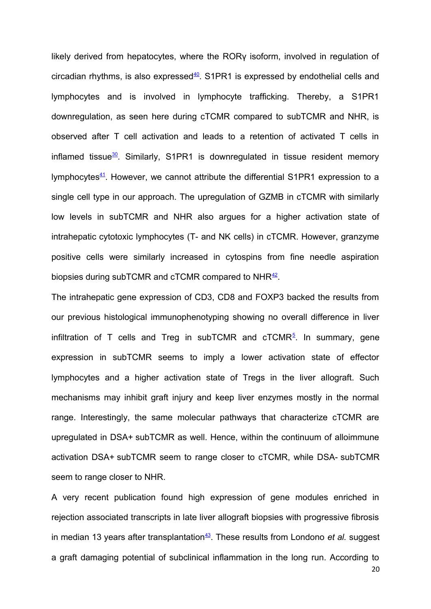likely derived from hepatocytes, where the RORγ isoform, involved in regulation of circadian rhythms, is also expressed $40$ . S1PR1 is expressed by endothelial cells and lymphocytes and is involved in lymphocyte trafficking. Thereby, a S1PR1 downregulation, as seen here during cTCMR compared to subTCMR and NHR, is observed after T cell activation and leads to a retention of activated T cells in inflamed tissue $30$ . Similarly, S1PR1 is downregulated in tissue resident memory lymphocytes $41$ . However, we cannot attribute the differential S1PR1 expression to a single cell type in our approach. The upregulation of GZMB in cTCMR with similarly low levels in subTCMR and NHR also argues for a higher activation state of intrahepatic cytotoxic lymphocytes (T- and NK cells) in cTCMR. However, granzyme positive cells were similarly increased in cytospins from fine needle aspiration biopsies during subTCMR and cTCMR compared to NHR $^{42}$  $^{42}$  $^{42}$ .

The intrahepatic gene expression of CD3, CD8 and FOXP3 backed the results from our previous histological immunophenotyping showing no overall difference in liver infiltration of T cells and Treg in subTCMR and  $\mathsf{cTCMR}^5$  $\mathsf{cTCMR}^5$ . In summary, gene expression in subTCMR seems to imply a lower activation state of effector lymphocytes and a higher activation state of Tregs in the liver allograft. Such mechanisms may inhibit graft injury and keep liver enzymes mostly in the normal range. Interestingly, the same molecular pathways that characterize cTCMR are upregulated in DSA+ subTCMR as well. Hence, within the continuum of alloimmune activation DSA+ subTCMR seem to range closer to cTCMR, while DSA- subTCMR seem to range closer to NHR.

A very recent publication found high expression of gene modules enriched in rejection associated transcripts in late liver allograft biopsies with progressive fibrosis in median 13 years after transplantation<sup>[43](#page-23-3)</sup>. These results from Londono *et al.* suggest a graft damaging potential of subclinical inflammation in the long run. According to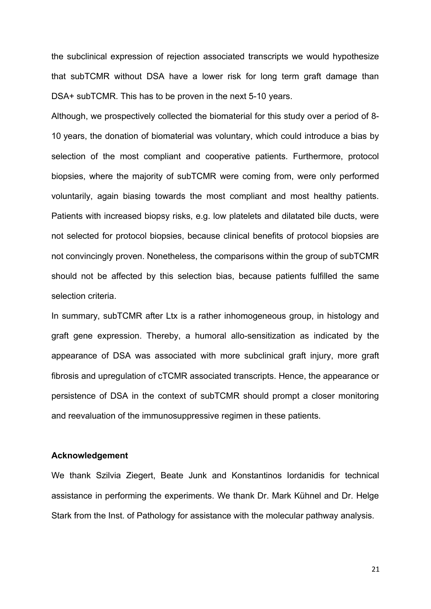the subclinical expression of rejection associated transcripts we would hypothesize that subTCMR without DSA have a lower risk for long term graft damage than DSA+ subTCMR. This has to be proven in the next 5-10 years.

Although, we prospectively collected the biomaterial for this study over a period of 8- 10 years, the donation of biomaterial was voluntary, which could introduce a bias by selection of the most compliant and cooperative patients. Furthermore, protocol biopsies, where the majority of subTCMR were coming from, were only performed voluntarily, again biasing towards the most compliant and most healthy patients. Patients with increased biopsy risks, e.g. low platelets and dilatated bile ducts, were not selected for protocol biopsies, because clinical benefits of protocol biopsies are not convincingly proven. Nonetheless, the comparisons within the group of subTCMR should not be affected by this selection bias, because patients fulfilled the same selection criteria.

In summary, subTCMR after Ltx is a rather inhomogeneous group, in histology and graft gene expression. Thereby, a humoral allo-sensitization as indicated by the appearance of DSA was associated with more subclinical graft injury, more graft fibrosis and upregulation of cTCMR associated transcripts. Hence, the appearance or persistence of DSA in the context of subTCMR should prompt a closer monitoring and reevaluation of the immunosuppressive regimen in these patients.

### **Acknowledgement**

We thank Szilvia Ziegert, Beate Junk and Konstantinos Iordanidis for technical assistance in performing the experiments. We thank Dr. Mark Kühnel and Dr. Helge Stark from the Inst. of Pathology for assistance with the molecular pathway analysis.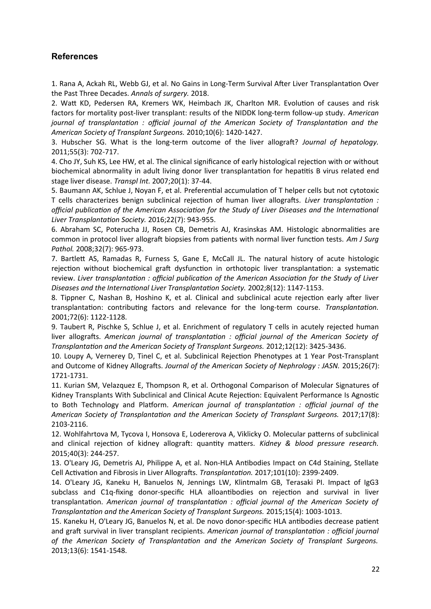## **References**

<span id="page-21-3"></span>1. Rana A, Ackah RL, Webb GJ, et al. No Gains in Long-Term Survival After Liver Transplantation Over the Past Three Decades. *Annals of surgery.* 2018.

2. Watt KD, Pedersen RA, Kremers WK, Heimbach JK, Charlton MR. Evolution of causes and risk factors for mortality post-liver transplant: results of the NIDDK long-term follow-up study. *American journal of transplantation : official journal of the American Society of Transplantation and the American Society of Transplant Surgeons.* 2010;10(6): 1420-1427.

<span id="page-21-2"></span>3. Hubscher SG. What is the long-term outcome of the liver allograft? *Journal of hepatology.* 2011;55(3): 702-717.

<span id="page-21-1"></span>4. Cho JY, Suh KS, Lee HW, et al. The clinical significance of early histological rejection with or without biochemical abnormality in adult living donor liver transplantation for hepatitis B virus related end stage liver disease. *Transpl Int.* 2007;20(1): 37-44.

<span id="page-21-0"></span>5. Baumann AK, Schlue J, Noyan F, et al. Preferential accumulation of T helper cells but not cytotoxic T cells characterizes benign subclinical rejection of human liver allografts. *Liver transplantation : official publication of the American Association for the Study of Liver Diseases and the International Liver Transplantation Society.* 2016;22(7): 943-955.

6. Abraham SC, Poterucha JJ, Rosen CB, Demetris AJ, Krasinskas AM. Histologic abnormalities are common in protocol liver allograft biopsies from patients with normal liver function tests. *Am J Surg Pathol.* 2008;32(7): 965-973.

7. Bartlett AS, Ramadas R, Furness S, Gane E, McCall JL. The natural history of acute histologic rejection without biochemical graft dysfunction in orthotopic liver transplantation: a systematic review. *Liver transplantation : official publication of the American Association for the Study of Liver Diseases and the International Liver Transplantation Society.* 2002;8(12): 1147-1153.

8. Tippner C, Nashan B, Hoshino K, et al. Clinical and subclinical acute rejection early after liver transplantation: contributing factors and relevance for the long-term course. *Transplantation.* 2001;72(6): 1122-1128.

<span id="page-21-6"></span>9. Taubert R, Pischke S, Schlue J, et al. Enrichment of regulatory T cells in acutely rejected human liver allografts. *American journal of transplantation : official journal of the American Society of Transplantation and the American Society of Transplant Surgeons.* 2012;12(12): 3425-3436.

<span id="page-21-5"></span>10. Loupy A, Vernerey D, Tinel C, et al. Subclinical Rejection Phenotypes at 1 Year Post-Transplant and Outcome of Kidney Allografts. *Journal of the American Society of Nephrology : JASN.* 2015;26(7): 1721-1731.

<span id="page-21-8"></span>11. Kurian SM, Velazquez E, Thompson R, et al. Orthogonal Comparison of Molecular Signatures of Kidney Transplants With Subclinical and Clinical Acute Rejection: Equivalent Performance Is Agnostic to Both Technology and Platform. *American journal of transplantation : official journal of the American Society of Transplantation and the American Society of Transplant Surgeons.* 2017;17(8): 2103-2116.

12. Wohlfahrtova M, Tycova I, Honsova E, Lodererova A, Viklicky O. Molecular patterns of subclinical and clinical rejection of kidney allograft: quantity matters. *Kidney & blood pressure research.* 2015;40(3): 244-257.

<span id="page-21-4"></span>13. O'Leary JG, Demetris AJ, Philippe A, et al. Non-HLA Antibodies Impact on C4d Staining, Stellate Cell Activation and Fibrosis in Liver Allografts. *Transplantation.* 2017;101(10): 2399-2409.

<span id="page-21-7"></span>14. O'Leary JG, Kaneku H, Banuelos N, Jennings LW, Klintmalm GB, Terasaki PI. Impact of IgG3 subclass and C1q-fixing donor-specific HLA alloantibodies on rejection and survival in liver transplantation. *American journal of transplantation : official journal of the American Society of Transplantation and the American Society of Transplant Surgeons.* 2015;15(4): 1003-1013.

15. Kaneku H, O'Leary JG, Banuelos N, et al. De novo donor-specific HLA antibodies decrease patient and graft survival in liver transplant recipients. *American journal of transplantation : official journal of the American Society of Transplantation and the American Society of Transplant Surgeons.* 2013;13(6): 1541-1548.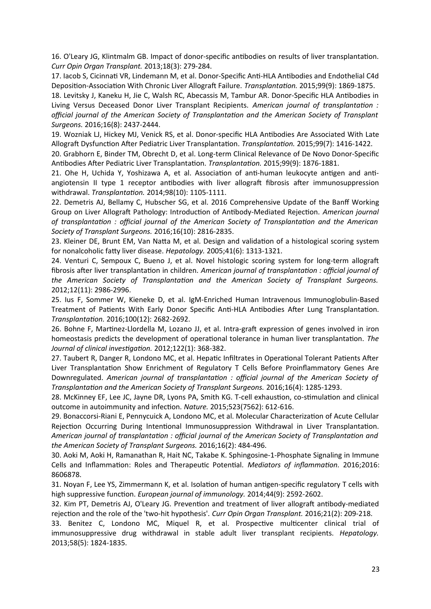16. O'Leary JG, Klintmalm GB. Impact of donor-specific antibodies on results of liver transplantation. *Curr Opin Organ Transplant.* 2013;18(3): 279-284.

17. Iacob S, Cicinnati VR, Lindemann M, et al. Donor-Specific Anti-HLA Antibodies and Endothelial C4d Deposition-Association With Chronic Liver Allograft Failure. *Transplantation.* 2015;99(9): 1869-1875.

18. Levitsky J, Kaneku H, Jie C, Walsh RC, Abecassis M, Tambur AR. Donor-Specific HLA Antibodies in Living Versus Deceased Donor Liver Transplant Recipients. *American journal of transplantation : official journal of the American Society of Transplantation and the American Society of Transplant Surgeons.* 2016;16(8): 2437-2444.

19. Wozniak LJ, Hickey MJ, Venick RS, et al. Donor-specific HLA Antibodies Are Associated With Late Allograft Dysfunction After Pediatric Liver Transplantation. *Transplantation.* 2015;99(7): 1416-1422.

20. Grabhorn E, Binder TM, Obrecht D, et al. Long-term Clinical Relevance of De Novo Donor-Specific Antibodies After Pediatric Liver Transplantation. *Transplantation.* 2015;99(9): 1876-1881.

21. Ohe H, Uchida Y, Yoshizawa A, et al. Association of anti-human leukocyte antigen and antiangiotensin II type 1 receptor antibodies with liver allograft fibrosis after immunosuppression withdrawal. *Transplantation.* 2014;98(10): 1105-1111.

<span id="page-22-3"></span>22. Demetris AJ, Bellamy C, Hubscher SG, et al. 2016 Comprehensive Update of the Banff Working Group on Liver Allograft Pathology: Introduction of Antibody-Mediated Rejection. *American journal of transplantation : official journal of the American Society of Transplantation and the American Society of Transplant Surgeons.* 2016;16(10): 2816-2835.

<span id="page-22-2"></span>23. Kleiner DE, Brunt EM, Van Natta M, et al. Design and validation of a histological scoring system for nonalcoholic fatty liver disease. *Hepatology.* 2005;41(6): 1313-1321.

<span id="page-22-1"></span>24. Venturi C, Sempoux C, Bueno J, et al. Novel histologic scoring system for long-term allograft fibrosis after liver transplantation in children. *American journal of transplantation : official journal of the American Society of Transplantation and the American Society of Transplant Surgeons.* 2012;12(11): 2986-2996.

<span id="page-22-0"></span>25. Ius F, Sommer W, Kieneke D, et al. IgM-Enriched Human Intravenous Immunoglobulin-Based Treatment of Patients With Early Donor Specific Anti-HLA Antibodies After Lung Transplantation. *Transplantation.* 2016;100(12): 2682-2692.

<span id="page-22-4"></span>26. Bohne F, Martinez-Llordella M, Lozano JJ, et al. Intra-graft expression of genes involved in iron homeostasis predicts the development of operational tolerance in human liver transplantation. *The Journal of clinical investigation.* 2012;122(1): 368-382.

27. Taubert R, Danger R, Londono MC, et al. Hepatic Infiltrates in Operational Tolerant Patients After Liver Transplantation Show Enrichment of Regulatory T Cells Before Proinflammatory Genes Are Downregulated. *American journal of transplantation : official journal of the American Society of Transplantation and the American Society of Transplant Surgeons.* 2016;16(4): 1285-1293.

28. McKinney EF, Lee JC, Jayne DR, Lyons PA, Smith KG. T-cell exhaustion, co-stimulation and clinical outcome in autoimmunity and infection. *Nature.* 2015;523(7562): 612-616.

29. Bonaccorsi-Riani E, Pennycuick A, Londono MC, et al. Molecular Characterization of Acute Cellular Rejection Occurring During Intentional Immunosuppression Withdrawal in Liver Transplantation. *American journal of transplantation : official journal of the American Society of Transplantation and the American Society of Transplant Surgeons.* 2016;16(2): 484-496.

<span id="page-22-6"></span>30. Aoki M, Aoki H, Ramanathan R, Hait NC, Takabe K. Sphingosine-1-Phosphate Signaling in Immune Cells and Inflammation: Roles and Therapeutic Potential. *Mediators of inflammation.* 2016;2016: 8606878.

<span id="page-22-5"></span>31. Noyan F, Lee YS, Zimmermann K, et al. Isolation of human antigen-specific regulatory T cells with high suppressive function. *European journal of immunology.* 2014;44(9): 2592-2602.

<span id="page-22-8"></span>32. Kim PT, Demetris AJ, O'Leary JG. Prevention and treatment of liver allograft antibody-mediated rejection and the role of the 'two-hit hypothesis'. *Curr Opin Organ Transplant.* 2016;21(2): 209-218.

<span id="page-22-7"></span>33. Benitez C, Londono MC, Miquel R, et al. Prospective multicenter clinical trial of immunosuppressive drug withdrawal in stable adult liver transplant recipients. *Hepatology.* 2013;58(5): 1824-1835.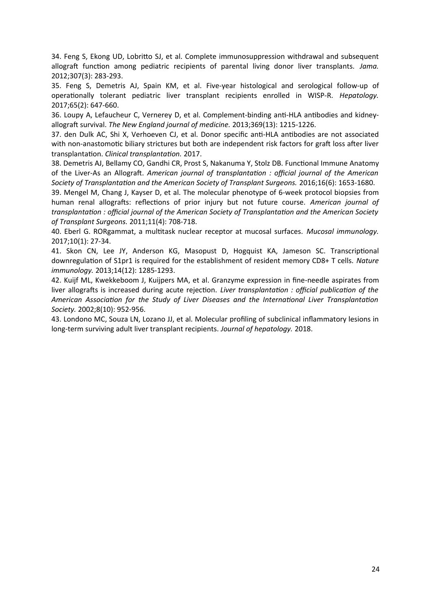34. Feng S, Ekong UD, Lobritto SJ, et al. Complete immunosuppression withdrawal and subsequent allograft function among pediatric recipients of parental living donor liver transplants. *Jama.* 2012;307(3): 283-293.

35. Feng S, Demetris AJ, Spain KM, et al. Five-year histological and serological follow-up of operationally tolerant pediatric liver transplant recipients enrolled in WISP-R. *Hepatology.* 2017;65(2): 647-660.

<span id="page-23-0"></span>36. Loupy A, Lefaucheur C, Vernerey D, et al. Complement-binding anti-HLA antibodies and kidneyallograft survival. *The New England journal of medicine.* 2013;369(13): 1215-1226.

37. den Dulk AC, Shi X, Verhoeven CJ, et al. Donor specific anti-HLA antibodies are not associated with non-anastomotic biliary strictures but both are independent risk factors for graft loss after liver transplantation. *Clinical transplantation.* 2017.

<span id="page-23-1"></span>38. Demetris AJ, Bellamy CO, Gandhi CR, Prost S, Nakanuma Y, Stolz DB. Functional Immune Anatomy of the Liver-As an Allograft. *American journal of transplantation : official journal of the American Society of Transplantation and the American Society of Transplant Surgeons.* 2016;16(6): 1653-1680.

<span id="page-23-2"></span>39. Mengel M, Chang J, Kayser D, et al. The molecular phenotype of 6-week protocol biopsies from human renal allografts: reflections of prior injury but not future course. *American journal of transplantation : official journal of the American Society of Transplantation and the American Society of Transplant Surgeons.* 2011;11(4): 708-718.

<span id="page-23-6"></span>40. Eberl G. RORgammat, a multitask nuclear receptor at mucosal surfaces. *Mucosal immunology.* 2017;10(1): 27-34.

<span id="page-23-5"></span>41. Skon CN, Lee JY, Anderson KG, Masopust D, Hogquist KA, Jameson SC. Transcriptional downregulation of S1pr1 is required for the establishment of resident memory CD8+ T cells. *Nature immunology.* 2013;14(12): 1285-1293.

<span id="page-23-4"></span>42. Kuijf ML, Kwekkeboom J, Kuijpers MA, et al. Granzyme expression in fine-needle aspirates from liver allografts is increased during acute rejection. *Liver transplantation : official publication of the American Association for the Study of Liver Diseases and the International Liver Transplantation Society.* 2002;8(10): 952-956.

<span id="page-23-3"></span>43. Londono MC, Souza LN, Lozano JJ, et al. Molecular profiling of subclinical inflammatory lesions in long-term surviving adult liver transplant recipients. *Journal of hepatology.* 2018.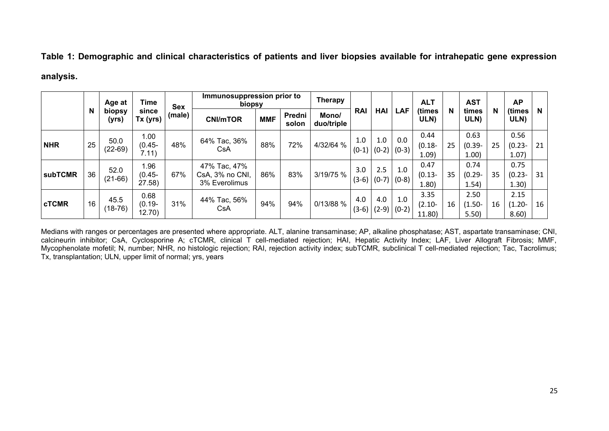**Table 1: Demographic and clinical characteristics of patients and liver biopsies available for intrahepatic gene expression**

### **analysis.**

| N              |    | Age at            | Time                        | <b>Sex</b><br>(male) | Immunosuppression prior to<br>biopsy             |            | <b>Therapy</b>  |                     |                |                | <b>ALT</b>     |                             | <b>AST</b> |                            | <b>AP</b> |                            |    |
|----------------|----|-------------------|-----------------------------|----------------------|--------------------------------------------------|------------|-----------------|---------------------|----------------|----------------|----------------|-----------------------------|------------|----------------------------|-----------|----------------------------|----|
|                |    | biopsy<br>(yrs)   | since<br>Tx (yrs)           |                      | <b>CNI/mTOR</b>                                  | <b>MMF</b> | Predni<br>solon | Mono/<br>duo/triple | <b>RAI</b>     | <b>HAI</b>     | LAF            | (times<br>ULN)              | N          | times<br>ULN)              | N         | (times<br>ULN)             | N. |
| <b>NHR</b>     | 25 | 50.0<br>$(22-69)$ | 1.00<br>$(0.45 -$<br>7.11)  | 48%                  | 64% Tac, 36%<br>CsA                              | 88%        | 72%             | 4/32/64 %           | 1.0<br>$(0-1)$ | 1.0<br>$(0-2)$ | 0.0<br>$(0-3)$ | 0.44<br>$(0.18 -$<br>1.09   | 25         | 0.63<br>$(0.39 -$<br>1.00  | 25        | 0.56<br>$(0.23 -$<br>1.07) | 21 |
| <b>subTCMR</b> | 36 | 52.0<br>$(21-66)$ | 1.96<br>(0.45-<br>27.58)    | 67%                  | 47% Tac, 47%<br>CsA, 3% no CNI,<br>3% Everolimus | 86%        | 83%             | 3/19/75 %           | 3.0<br>$(3-6)$ | 2.5<br>$(0-7)$ | 1.0<br>$(0-8)$ | 0.47<br>$(0.13 -$<br>1.80)  | 35         | 0.74<br>$(0.29 -$<br>1.54) | 35        | 0.75<br>$(0.23 -$<br>1.30) | 31 |
| <b>cTCMR</b>   | 16 | 45.5<br>$(18-76)$ | 0.68<br>$(0.19 -$<br>12.70) | 31%                  | 44% Tac, 56%<br>CsA                              | 94%        | 94%             | 0/13/88 %           | 4.0<br>$(3-6)$ | 4.0<br>$(2-9)$ | 1.0<br>$(0-2)$ | 3.35<br>$(2.10 -$<br>11.80) | 16         | 2.50<br>$(1.50 -$<br>5.50) | 16        | 2.15<br>$(1.20 -$<br>8.60) | 16 |

Medians with ranges or percentages are presented where appropriate. ALT, alanine transaminase; AP, alkaline phosphatase; AST, aspartate transaminase; CNI, calcineurin inhibitor; CsA, Cyclosporine A; cTCMR, clinical T cell-mediated rejection; HAI, Hepatic Activity Index; LAF, Liver Allograft Fibrosis; MMF, Mycophenolate mofetil; N, number; NHR, no histologic rejection; RAI, rejection activity index; subTCMR, subclinical T cell-mediated rejection; Tac, Tacrolimus; Tx, transplantation; ULN, upper limit of normal; yrs, years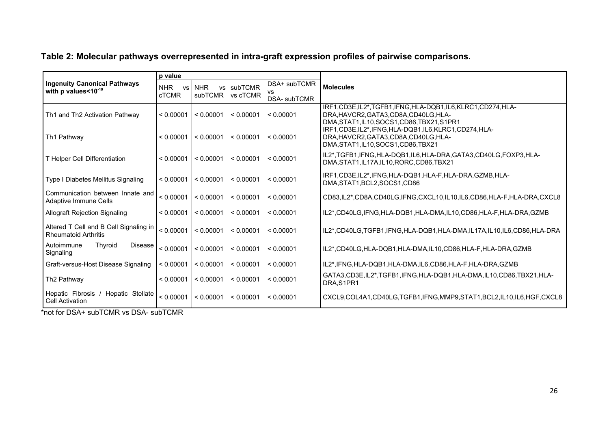|                                                                       | p value                                 |                                    |                     |                                     |                                                                                                                                                  |  |  |  |  |  |
|-----------------------------------------------------------------------|-----------------------------------------|------------------------------------|---------------------|-------------------------------------|--------------------------------------------------------------------------------------------------------------------------------------------------|--|--|--|--|--|
| <b>Ingenuity Canonical Pathways</b><br>with p values<10-10            | <b>NHR</b><br><b>VS</b><br><b>cTCMR</b> | <b>NHR</b><br><b>VS</b><br>subTCMR | subTCMR<br>vs cTCMR | DSA+ subTCMR<br>VS.<br>DSA- subTCMR | <b>Molecules</b>                                                                                                                                 |  |  |  |  |  |
| Th1 and Th2 Activation Pathway                                        | < 0.00001                               | < 0.00001                          | < 0.00001           | < 0.00001                           | IRF1,CD3E,IL2*,TGFB1,IFNG,HLA-DQB1,IL6,KLRC1,CD274,HLA-<br>DRA, HAVCR2, GATA3, CD8A, CD40LG, HLA-<br>DMA, STAT1, IL10, SOCS1, CD86, TBX21, S1PR1 |  |  |  |  |  |
| Th1 Pathway                                                           | < 0.00001                               | < 0.00001                          | < 0.00001           | < 0.00001                           | IRF1,CD3E,IL2*,IFNG,HLA-DQB1,IL6,KLRC1,CD274,HLA-<br>DRA, HAVCR2, GATA3, CD8A, CD40LG, HLA-<br>DMA, STAT1, IL10, SOCS1, CD86, TBX21              |  |  |  |  |  |
| T Helper Cell Differentiation                                         | < 0.00001                               | < 0.00001                          | < 0.00001           | < 0.00001                           | IL2*,TGFB1,IFNG,HLA-DQB1,IL6,HLA-DRA,GATA3,CD40LG,FOXP3,HLA-<br>DMA, STAT1, IL17A, IL10, RORC, CD86, TBX21                                       |  |  |  |  |  |
| Type I Diabetes Mellitus Signaling                                    | < 0.00001                               | < 0.00001                          | < 0.00001           | < 0.00001                           | IRF1,CD3E,IL2*,IFNG,HLA-DQB1,HLA-F,HLA-DRA,GZMB,HLA-<br>DMA, STAT1, BCL2, SOCS1, CD86                                                            |  |  |  |  |  |
| Communication between Innate and<br>Adaptive Immune Cells             | < 0.00001                               | < 0.00001                          | < 0.00001           | < 0.00001                           | CD83,IL2*,CD8A,CD40LG,IFNG,CXCL10,IL10,IL6,CD86,HLA-F,HLA-DRA,CXCL8                                                                              |  |  |  |  |  |
| <b>Allograft Rejection Signaling</b>                                  | < 0.00001                               | < 0.00001                          | < 0.00001           | < 0.00001                           | IL2*,CD40LG,IFNG,HLA-DQB1,HLA-DMA,IL10,CD86,HLA-F,HLA-DRA,GZMB                                                                                   |  |  |  |  |  |
| Altered T Cell and B Cell Signaling in<br><b>Rheumatoid Arthritis</b> | < 0.00001                               | < 0.00001                          | < 0.00001           | < 0.00001                           | IL2*,CD40LG,TGFB1,IFNG,HLA-DQB1,HLA-DMA,IL17A,IL10,IL6,CD86,HLA-DRA                                                                              |  |  |  |  |  |
| Autoimmune<br>Thyroid<br>Disease<br>Signaling                         | < 0.00001                               | < 0.00001                          | < 0.00001           | < 0.00001                           | IL2*,CD40LG,HLA-DQB1,HLA-DMA,IL10,CD86,HLA-F,HLA-DRA,GZMB                                                                                        |  |  |  |  |  |
| Graft-versus-Host Disease Signaling                                   | < 0.00001                               | < 0.00001                          | < 0.00001           | < 0.00001                           | IL2*,IFNG,HLA-DQB1,HLA-DMA,IL6,CD86,HLA-F,HLA-DRA,GZMB                                                                                           |  |  |  |  |  |
| Th <sub>2</sub> Pathway                                               | < 0.00001                               | < 0.00001                          | < 0.00001           | < 0.00001                           | GATA3.CD3E.IL2*.TGFB1.IFNG.HLA-DQB1.HLA-DMA.IL10.CD86.TBX21.HLA-<br>DRA, S1PR1                                                                   |  |  |  |  |  |
| Hepatic Fibrosis<br>Hepatic Stellate<br><b>Cell Activation</b>        | < 0.00001                               | < 0.00001                          | < 0.00001           | < 0.00001                           | CXCL9.COL4A1.CD40LG.TGFB1.IFNG.MMP9.STAT1.BCL2.IL10.IL6.HGF.CXCL8                                                                                |  |  |  |  |  |

## **Table 2: Molecular pathways overrepresented in intra-graft expression profiles of pairwise comparisons.**

\*not for DSA+ subTCMR vs DSA- subTCMR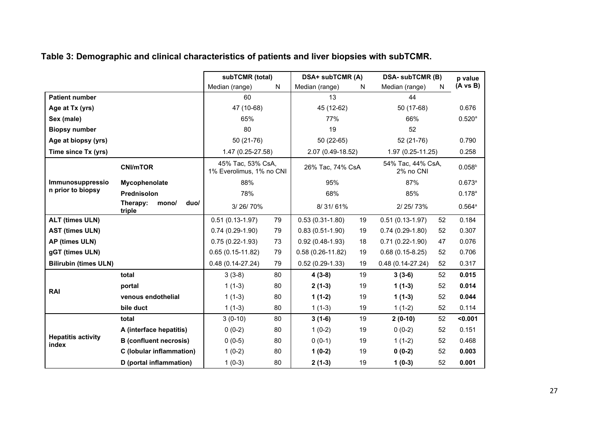## **Table 3: Demographic and clinical characteristics of patients and liver biopsies with subTCMR.**

|                                    |                                     | subTCMR (total)                               |                  | DSA+ subTCMR (A)     |                                | <b>DSA- subTCMR (B)</b> | p value     |                 |
|------------------------------------|-------------------------------------|-----------------------------------------------|------------------|----------------------|--------------------------------|-------------------------|-------------|-----------------|
|                                    |                                     | Median (range)                                | N                | Median (range)       | N                              | Median (range)          | N           | $(A \vee B)$    |
| <b>Patient number</b>              |                                     | 60                                            |                  | 13                   |                                | 44                      |             |                 |
| Age at Tx (yrs)                    |                                     | 47 (10-68)                                    |                  | 45 (12-62)           |                                | 50 (17-68)              |             | 0.676           |
| Sex (male)                         |                                     | 65%                                           |                  | 77%                  |                                | 66%                     |             | $0.520^{a}$     |
| <b>Biopsy number</b>               |                                     | 80                                            |                  | 19                   |                                | 52                      |             |                 |
| Age at biopsy (yrs)                |                                     | 50 (21-76)                                    |                  | $50(22-65)$          |                                | 52 (21-76)              |             | 0.790           |
| Time since Tx (yrs)                |                                     | 1.47 (0.25-27.58)                             |                  | 2.07 (0.49-18.52)    |                                | 1.97 (0.25-11.25)       |             | 0.258           |
|                                    | <b>CNI/mTOR</b>                     | 45% Tac, 53% CsA,<br>1% Everolimus, 1% no CNI | 26% Tac, 74% CsA |                      | 54% Tac, 44% CsA,<br>2% no CNI |                         | $0.058^{b}$ |                 |
| Immunosuppressio                   | Mycophenolate                       | 88%                                           |                  | 95%                  |                                | 87%                     |             | $0.673^a$       |
| n prior to biopsy                  | <b>Prednisolon</b>                  | 78%                                           |                  | 68%                  | 85%                            |                         | $0.178^{a}$ |                 |
|                                    | Therapy:<br>duo/<br>mono/<br>triple | 3/26/70%                                      |                  | 8/31/61%             |                                | 2/25/73%                |             | $0.564^{\circ}$ |
| <b>ALT (times ULN)</b>             |                                     | $0.51(0.13 - 1.97)$                           | 79               | $0.53(0.31 - 1.80)$  | 19                             | $0.51(0.13-1.97)$       | 52          | 0.184           |
| <b>AST (times ULN)</b>             |                                     | $0.74(0.29-1.90)$                             | 79               | $0.83(0.51-1.90)$    | 19                             | $0.74(0.29-1.80)$       | 52          | 0.307           |
| AP (times ULN)                     |                                     | $0.75(0.22-1.93)$                             | 73               | $0.92(0.48-1.93)$    | 18                             | $0.71(0.22-1.90)$       | 47          | 0.076           |
| gGT (times ULN)                    |                                     | $0.65(0.15-11.82)$                            | 79               | $0.58(0.26 - 11.82)$ | 19                             | $0.68(0.15-8.25)$       | 52          | 0.706           |
| <b>Bilirubin (times ULN)</b>       |                                     | $0.48(0.14-27.24)$                            | 79               | $0.52(0.29-1.33)$    | 19                             | $0.48(0.14-27.24)$      | 52          | 0.317           |
|                                    | total                               | $3(3-8)$                                      | 80               | $4(3-8)$             | 19                             | $3(3-6)$                | 52          | 0.015           |
|                                    | portal                              | $1(1-3)$                                      | 80               | $2(1-3)$             | 19                             | $1(1-3)$                | 52          | 0.014           |
| <b>RAI</b>                         | venous endothelial                  | $1(1-3)$                                      | 80               | $1(1-2)$             | 19                             | $1(1-3)$                | 52          | 0.044           |
|                                    | bile duct                           | $1(1-3)$                                      | 80               | $1(1-3)$             | 19                             | $1(1-2)$                | 52          | 0.114           |
|                                    | total                               | $3(0-10)$                                     | 80               | $3(1-6)$             | 19                             | $2(0-10)$               | 52          | < 0.001         |
|                                    | A (interface hepatitis)             | $0(0-2)$                                      | 80               | $1(0-2)$             | 19                             | $0(0-2)$                | 52          | 0.151           |
| <b>Hepatitis activity</b><br>index | <b>B</b> (confluent necrosis)       | $0(0-5)$                                      | 80               | $0(0-1)$             | 19                             | $1(1-2)$                | 52          | 0.468           |
|                                    | C (lobular inflammation)            | $1(0-2)$                                      | 80               | $1(0-2)$             | 19                             | $0(0-2)$                | 52          | 0.003           |
|                                    | D (portal inflammation)             | $1(0-3)$                                      | 80               | $2(1-3)$             | 19                             | $1(0-3)$                | 52          | 0.001           |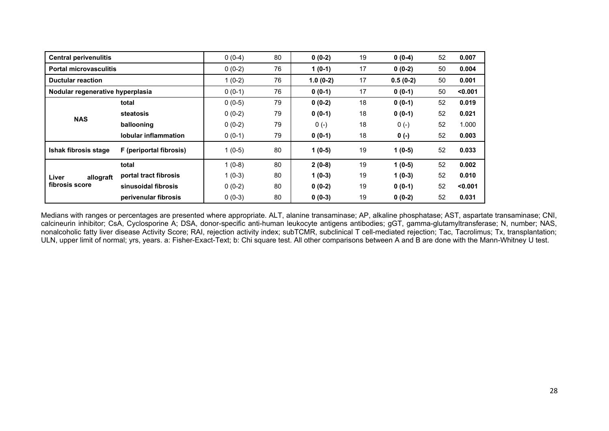| <b>Central perivenulitis</b>     | $0(0-4)$                    | 80       | $0(0-2)$   | 19       | $0(0-4)$   | 52       | 0.007   |         |
|----------------------------------|-----------------------------|----------|------------|----------|------------|----------|---------|---------|
| <b>Portal microvasculitis</b>    | $0(0-2)$                    | 76       | $1(0-1)$   | 17       | $0(0-2)$   | 50       | 0.004   |         |
| <b>Ductular reaction</b>         | $1(0-2)$                    | 76       | $1.0(0-2)$ | 17       | $0.5(0-2)$ | 50       | 0.001   |         |
| Nodular regenerative hyperplasia | $0(0-1)$                    | 76       | $0(0-1)$   | 17       | $0(0-1)$   | 50       | < 0.001 |         |
|                                  | total                       | $0(0-5)$ | 79         | $0(0-2)$ | 18         | $0(0-1)$ | 52      | 0.019   |
| <b>NAS</b>                       | steatosis                   | $0(0-2)$ | 79         | $0(0-1)$ | 18         | $0(0-1)$ | 52      | 0.021   |
|                                  | ballooning                  | $0(0-2)$ | 79         | $0(-)$   | 18         | $0(-)$   | 52      | 1.000   |
|                                  | <b>lobular inflammation</b> | $0(0-1)$ | 79         | $0(0-1)$ | 18         | $0 (-)$  | 52      | 0.003   |
| Ishak fibrosis stage             | F (periportal fibrosis)     | $1(0-5)$ | 80         | $1(0-5)$ | 19         | $1(0-5)$ | 52      | 0.033   |
|                                  | total                       | $1(0-8)$ | 80         | $2(0-8)$ | 19         | $1(0-5)$ | 52      | 0.002   |
| Liver<br>allograft               | portal tract fibrosis       | $1(0-3)$ | 80         | $1(0-3)$ | 19         | $1(0-3)$ | 52      | 0.010   |
| fibrosis score                   | sinusoidal fibrosis         | $0(0-2)$ | 80         | $0(0-2)$ | 19         | $0(0-1)$ | 52      | $0.001$ |
|                                  | perivenular fibrosis        | $0(0-3)$ | 80         | $0(0-3)$ | 19         | $0(0-2)$ | 52      | 0.031   |

Medians with ranges or percentages are presented where appropriate. ALT, alanine transaminase; AP, alkaline phosphatase; AST, aspartate transaminase; CNI, calcineurin inhibitor; CsA, Cyclosporine A; DSA, donor-specific anti-human leukocyte antigens antibodies; gGT, gamma-glutamyltransferase; N, number; NAS, nonalcoholic fatty liver disease Activity Score; RAI, rejection activity index; subTCMR, subclinical T cell-mediated rejection; Tac, Tacrolimus; Tx, transplantation; ULN, upper limit of normal; yrs, years. a: Fisher-Exact-Text; b: Chi square test. All other comparisons between A and B are done with the Mann-Whitney U test.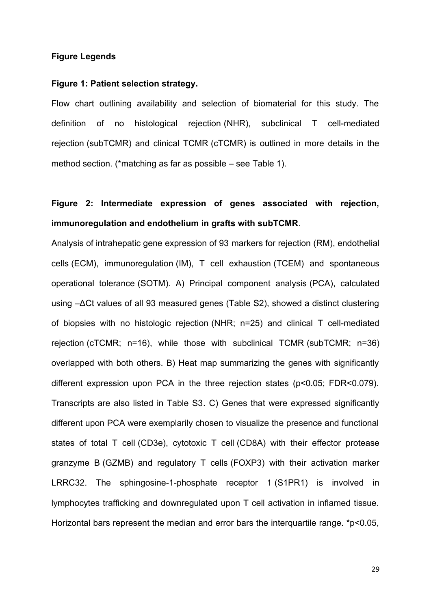### **Figure Legends**

### **Figure 1: Patient selection strategy.**

Flow chart outlining availability and selection of biomaterial for this study. The definition of no histological rejection (NHR), subclinical T cell-mediated rejection (subTCMR) and clinical TCMR (cTCMR) is outlined in more details in the method section. (\*matching as far as possible – see Table 1).

# **Figure 2: Intermediate expression of genes associated with rejection, immunoregulation and endothelium in grafts with subTCMR**.

Analysis of intrahepatic gene expression of 93 markers for rejection (RM), endothelial cells (ECM), immunoregulation (IM), T cell exhaustion (TCEM) and spontaneous operational tolerance (SOTM). A) Principal component analysis (PCA), calculated using –ΔCt values of all 93 measured genes (Table S2), showed a distinct clustering of biopsies with no histologic rejection (NHR; n=25) and clinical T cell-mediated rejection (cTCMR; n=16), while those with subclinical TCMR (subTCMR; n=36) overlapped with both others. B) Heat map summarizing the genes with significantly different expression upon PCA in the three rejection states (p<0.05; FDR<0.079). Transcripts are also listed in Table S3**.** C) Genes that were expressed significantly different upon PCA were exemplarily chosen to visualize the presence and functional states of total T cell (CD3e), cytotoxic T cell (CD8A) with their effector protease granzyme B (GZMB) and regulatory T cells (FOXP3) with their activation marker LRRC32. The sphingosine-1-phosphate receptor 1 (S1PR1) is involved in lymphocytes trafficking and downregulated upon T cell activation in inflamed tissue. Horizontal bars represent the median and error bars the interquartile range. \*p<0.05,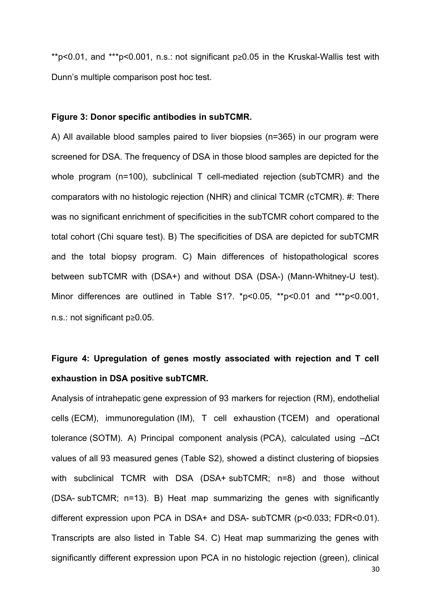\*\*p<0.01, and \*\*\*p<0.001, n.s.: not significant p≥0.05 in the Kruskal-Wallis test with Dunn's multiple comparison post hoc test.

### **Figure 3: Donor specific antibodies in subTCMR.**

A) All available blood samples paired to liver biopsies (n=365) in our program were screened for DSA. The frequency of DSA in those blood samples are depicted for the whole program (n=100), subclinical T cell-mediated rejection (subTCMR) and the comparators with no histologic rejection (NHR) and clinical TCMR (cTCMR). #: There was no significant enrichment of specificities in the subTCMR cohort compared to the total cohort (Chi square test). B) The specificities of DSA are depicted for subTCMR and the total biopsy program. C) Main differences of histopathological scores between subTCMR with (DSA+) and without DSA (DSA-) (Mann-Whitney-U test). Minor differences are outlined in Table S1?. \*p<0.05, \*\*p<0.01 and \*\*\*p<0.001, n.s.: not significant p≥0.05.

## **Figure 4: Upregulation of genes mostly associated with rejection and T cell exhaustion in DSA positive subTCMR.**

Analysis of intrahepatic gene expression of 93 markers for rejection (RM), endothelial cells (ECM), immunoregulation (IM), T cell exhaustion (TCEM) and operational tolerance (SOTM). A) Principal component analysis (PCA), calculated using –ΔCt values of all 93 measured genes (Table S2), showed a distinct clustering of biopsies with subclinical TCMR with DSA (DSA+ subTCMR; n=8) and those without (DSA- subTCMR; n=13). B) Heat map summarizing the genes with significantly different expression upon PCA in DSA+ and DSA- subTCMR (p<0.033; FDR<0.01). Transcripts are also listed in Table S4. C) Heat map summarizing the genes with significantly different expression upon PCA in no histologic rejection (green), clinical